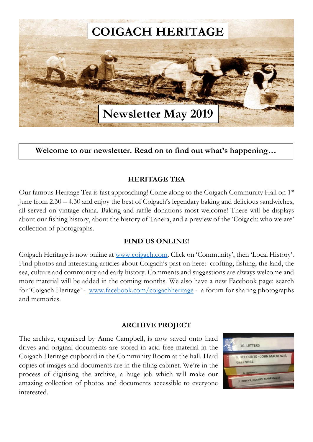

**a great weight we construct the Welcome to our newsletter. Read on to find out what's happening... the document or use** 

# **HERITAGE TEA**

Our famous Heritage Tea is fast approaching! Come along to the Coigach Community Hall on 1<sup>st</sup> June from 2.30 – 4.30 and enjoy the best of Coigach's legendary baking and delicious sandwiches, June from 2.30 – 4.30 and enjoy the best of Coigach's legendary baking and delicious sandwiches,<br>all served on vintage china. Baking and raffle donations most welcome! There will be displays about our fishing history, about the history of Tanera, and a preview of the 'Coigach: who we are' collection of photographs.

# **FIND US ONLINE!**

Coigach Heritage is now online at [www.coigach.com.](http://www.coigach.com/) Click on 'Community', then 'Local History'. Find photos and interesting articles about Coigach's past on here: crofting, fishing, the land, the sea, culture and community and early history. Comments and suggestions are always welcome and more material will be added in the coming months. We also have a new Facebook page: search for 'Coigach Heritage' - [www.facebook.com/coigachheritage](http://www.facebook.com/coigachheritage) - a forum for sharing photographs and memories.

## **ARCHIVE PROJECT**

The archive, organised by Anne Campbell, is now saved onto hard drives and original documents are stored in acid-free material in the Coigach Heritage cupboard in the Community Room at the hall. Hard copies of images and documents are in the filing cabinet. We're in the process of digitising the archive, a huge job which will make our amazing collection of photos and documents accessible to everyone interested.

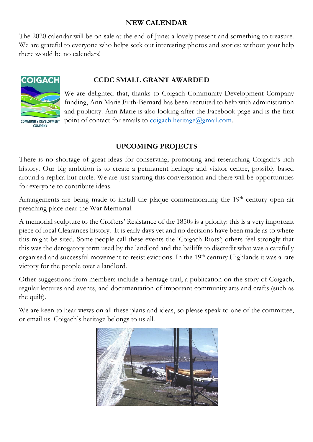## **NEW CALENDAR**

The 2020 calendar will be on sale at the end of June: a lovely present and something to treasure. We are grateful to everyone who helps seek out interesting photos and stories; without your help there would be no calendars!



COMPANY

# **CCDC SMALL GRANT AWARDED**

We are delighted that, thanks to Coigach Community Development Company funding, Ann Marie Firth-Bernard has been recruited to help with administration and publicity. Ann Marie is also looking after the Facebook page and is the first point of contact for emails to  $\frac{\text{coigach.} \text{heritage}(a) \text{gmail.com}}{\text{cmal.}}$ 

# **UPCOMING PROJECTS**

There is no shortage of great ideas for conserving, promoting and researching Coigach's rich history. Our big ambition is to create a permanent heritage and visitor centre, possibly based around a replica hut circle. We are just starting this conversation and there will be opportunities for everyone to contribute ideas.

Arrangements are being made to install the plaque commemorating the 19<sup>th</sup> century open air preaching place near the War Memorial.

A memorial sculpture to the Crofters' Resistance of the 1850s is a priority: this is a very important piece of local Clearances history. It is early days yet and no decisions have been made as to where this might be sited. Some people call these events the 'Coigach Riots'; others feel strongly that this was the derogatory term used by the landlord and the bailiffs to discredit what was a carefully organised and successful movement to resist evictions. In the 19<sup>th</sup> century Highlands it was a rare victory for the people over a landlord.

Other suggestions from members include a heritage trail, a publication on the story of Coigach, regular lectures and events, and documentation of important community arts and crafts (such as the quilt).

We are keen to hear views on all these plans and ideas, so please speak to one of the committee, or email us. Coigach's heritage belongs to us all.

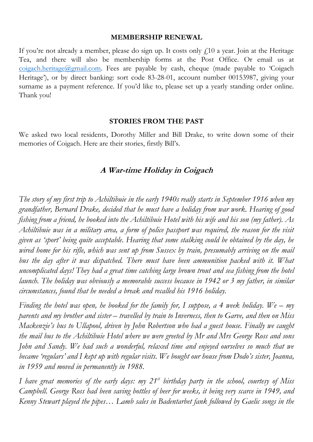### **MEMBERSHIP RENEWAL**

If you're not already a member, please do sign up. It costs only  $f(10)$  a year. Join at the Heritage Tea, and there will also be membership forms at the Post Office. Or email us at  $\frac{\text{coigach.} \text{heritage}(\partial \text{gmail.com})}{\text{Cogach.}}$  Fees are payable by cash, cheque (made payable to 'Coigach' Heritage'), or by direct banking: sort code 83-28-01, account number 00153987, giving your surname as a payment reference. If you'd like to, please set up a yearly standing order online. Thank you!

#### **STORIES FROM THE PAST**

We asked two local residents, Dorothy Miller and Bill Drake, to write down some of their memories of Coigach. Here are their stories, firstly Bill's.

## **A War-time Holiday in Coigach**

*The story of my first trip to Achiltibuie in the early 1940s really starts in September 1916 when my grandfather, Bernard Drake, decided that he must have a holiday from war work. Hearing of good fishing from a friend, he booked into the Achiltibuie Hotel with his wife and his son (my father). As Achiltibuie was in a military area, a form of police passport was required, the reason for the visit given as 'sport' being quite acceptable. Hearing that some stalking could be obtained by the day, he wired home for his rifle, which was sent up from Sussex by train, presumably arriving on the mail bus the day after it was dispatched. There must have been ammunition packed with it. What uncomplicated days! They had a great time catching large brown trout and sea fishing from the hotel launch. The holiday was obviously a memorable success because in 1942 or 3 my father, in similar circumstances, found that he needed a break and recalled his 1916 holiday.*

*Finding the hotel was open, he booked for the family for, I suppose, a 4 week holiday. We – my parents and my brother and sister – travelled by train to Inverness, then to Garve, and then on Miss Mackenzie's bus to Ullapool, driven by John Robertson who had a guest house. Finally we caught the mail bus to the Achiltibuie Hotel where we were greeted by Mr and Mrs George Ross and sons John and Sandy. We had such a wonderful, relaxed time and enjoyed ourselves so much that we became 'regulars' and I kept up with regular visits. We bought our house from Dodo's sister, Joanna, in 1959 and moved in permanently in 1988.*

*I have great memories of the early days: my 21st birthday party in the school, courtesy of Miss Campbell. George Ross had been saving bottles of beer for weeks, it being very scarce in 1949, and Kenny Stewart played the pipes… Lamb sales in Badentarbet fank followed by Gaelic songs in the*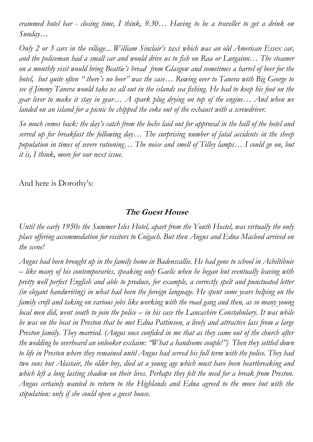*crammed hotel bar - closing time, I think, 9.30… Having to be a traveller to get a drink on Sunday…*

*Only 2 or 3 cars in the village... William Sinclair's taxi which was an old American Essex car, and the policeman had a small car and would drive us to fish on Raa or Lurgainn… The steamer on a monthly visit would bring Beattie's bread from Glasgow and sometimes a barrel of beer for the hotel, but quite often " there's no beer" was the case… Rowing over to Tanera with Big George to see if Jimmy Tanera would take us all out in the islands sea fishing. He had to keep his foot on the gear lever to make it stay in gear… A spark plug drying on top of the engine… And when we landed on an island for a picnic he chipped the coke out of the exhaust with a screwdriver.*

*So much comes back: the day's catch from the lochs laid out for approval in the hall of the hotel and served up for breakfast the following day… The surprising number of fatal accidents in the sheep population in times of severe rationing… The noise and smell of Tilley lamps… I could go on, but it is, I think, more for our next issue.*

And here is Dorothy's:

# **The Guest House**

*Until the early 1950s the Summer Isles Hotel, apart from the Youth Hostel, was virtually the only place offering accommodation for visitors to Coigach. But then Angus and Edna Macleod arrived on the scene!*

*Angus had been brought up in the family home in Badenscallie. He had gone to school in Achiltibuie – like many of his contemporaries, speaking only Gaelic when he began but eventually leaving with pretty well perfect English and able to produce, for example, a correctly spelt and punctuated letter (in elegant handwriting) in what had been the foreign language. He spent some years helping on the family croft and taking on various jobs like working with the road gang and then, as so many young local men did, went south to join the police – in his case the Lancashire Constabulary. It was while he was on the beat in Preston that he met Edna Pattinson, a lively and attractive lass from a large Preston family. They married. (Angus once confided in me that as they came out of the church after the wedding he overheard an onlooker exclaim: "What a handsome couple!") Then they settled down to life in Preston where they remained until Angus had served his full term with the police. They had two sons but Alastair, the older boy, died at a young age which must have been heartbreaking and which left a long lasting shadow on their lives. Perhaps they felt the need for a break from Preston. Angus certainly wanted to return to the Highlands and Edna agreed to the move but with the stipulation: only if she could open a guest house.*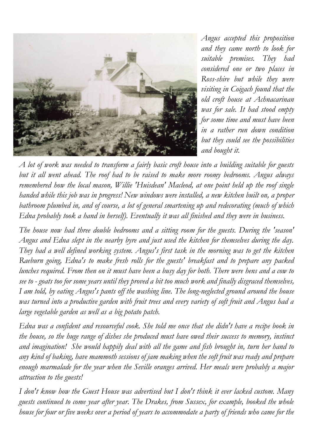

*Angus accepted this proposition and they came north to look for suitable premises. They had considered one or two places in Ross-shire but while they were visiting in Coigach found that the old croft house at Achnacarinan was for sale. It had stood empty for some time and must have been in a rather run down condition but they could see the possibilities and bought it.* 

*A lot of work was needed to transform a fairly basic croft house into a building suitable for guests but it all went ahead. The roof had to be raised to make more roomy bedrooms. Angus always remembered how the local mason, Willie 'Huisdean' Macleod, at one point held up the roof single handed while this job was in progress! New windows were installed, a new kitchen built on, a proper bathroom plumbed in, and of course, a lot of general smartening up and redecorating (much of which Edna probably took a hand in herself). Eventually it was all finished and they were in business.*

*The house now had three double bedrooms and a sitting room for the guests. During the 'season' Angus and Edna slept in the nearby byre and just used the kitchen for themselves during the day. They had a well defined working system. Angus's first task in the morning was to get the kitchen Raeburn going, Edna's to make fresh rolls for the guests' breakfast and to prepare any packed lunches required. From then on it must have been a busy day for both. There were hens and a cow to see to - goats too for some years until they proved a bit too much work and finally disgraced themselves, I am told, by eating Angus's pants off the washing line. The long-neglected ground around the house was turned into a productive garden with fruit trees and every variety of soft fruit and Angus had a large vegetable garden as well as a big potato patch.*

*Edna was a confident and resourceful cook. She told me once that she didn't have a recipe book in the house, so the huge range of dishes she produced must have owed their success to memory, instinct and imagination! She would happily deal with all the game and fish brought in, turn her hand to any kind of baking, have mammoth sessions of jam making when the soft fruit was ready and prepare enough marmalade for the year when the Seville oranges arrived. Her meals were probably a major attraction to the guests!*

*I don't know how the Guest House was advertised but I don't think it ever lacked custom. Many guests continued to come year after year. The Drakes, from Sussex, for example, booked the whole house for four or five weeks over a period of years to accommodate a party of friends who came for the*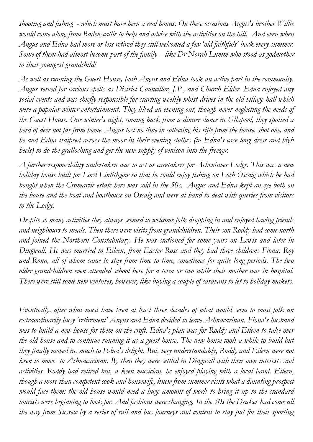*shooting and fishing - which must have been a real bonus. On these occasions Angus's brother Willie would come along from Badenscallie to help and advise with the activities on the hill. And even when Angus and Edna had more or less retired they still welcomed a few 'old faithfuls' back every summer. Some of them had almost become part of the family – like Dr Norah Lumm who stood as godmother to their youngest grandchild!*

*As well as running the Guest House, both Angus and Edna took an active part in the community. Angus served for various spells as District Councillor, J.P., and Church Elder. Edna enjoyed any social events and was chiefly responsible for starting weekly whist drives in the old village hall which were a popular winter entertainment. They liked an evening out, though never neglecting the needs of the Guest House. One winter's night, coming back from a dinner dance in Ullapool, they spotted a herd of deer not far from home. Angus lost no time in collecting his rifle from the house, shot one, and he and Edna traipsed across the moor in their evening clothes (in Edna's case long dress and high heels) to do the gralloching and get the new supply of venison into the freezer.*

*A further responsibility undertaken was to act as caretakers for Acheninver Lodge. This was a new holiday house built for Lord Linlithgow so that he could enjoy fishing on Loch Oscaig which he had bought when the Cromartie estate here was sold in the 50s. Angus and Edna kept an eye both on the house and the boat and boathouse on Oscaig and were at hand to deal with queries from visitors to the Lodge.*

*Despite so many activities they always seemed to welcome folk dropping in and enjoyed having friends and neighbours to meals. Then there were visits from grandchildren. Their son Roddy had come north and joined the Northern Constabulary. He was stationed for some years on Lewis and later in Dingwall. He was married to Eileen, from Easter Ross and they had three children: Fiona, Roy and Rona, all of whom came to stay from time to time, sometimes for quite long periods. The two older grandchildren even attended school here for a term or two while their mother was in hospital. There were still some new ventures, however, like buying a couple of caravans to let to holiday makers.*

*Eventually, after what must have been at least three decades of what would seem to most folk an extraordinarily busy 'retirement' Angus and Edna decided to leave Achnacarinan. Fiona's husband was to build a new house for them on the croft. Edna's plan was for Roddy and Eileen to take over the old house and to continue running it as a guest house. The new house took a while to build but they finally moved in, much to Edna's delight. But, very understandably, Roddy and Eileen were not keen to move to Achnacarinan. By then they were settled in Dingwall with their own interests and activities. Roddy had retired but, a keen musician, he enjoyed playing with a local band. Eileen, though a more than competent cook and housewife, knew from summer visits what a daunting prospect would face them: the old house would need a huge amount of work to bring it up to the standard tourists were beginning to look for. And fashions were changing. In the 50s the Drakes had come all the way from Sussex by a series of rail and bus journeys and content to stay put for their sporting*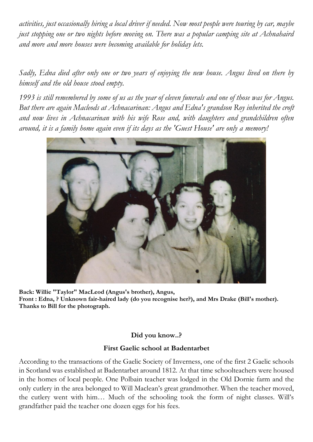*activities, just occasionally hiring a local driver if needed. Now most people were touring by car, maybe just stopping one or two nights before moving on. There was a popular camping site at Achnahaird and more and more houses were becoming available for holiday lets.* 

*Sadly, Edna died after only one or two years of enjoying the new house. Angus lived on there by himself and the old house stood empty.*

*1993 is still remembered by some of us as the year of eleven funerals and one of those was for Angus. But there are again Macleods at Achnacarinan: Angus and Edna's grandson Roy inherited the croft and now lives in Achnacarinan with his wife Rose and, with daughters and grandchildren often around, it is a family home again even if its days as the 'Guest House' are only a memory!*



**Back: Willie "Taylor" MacLeod (Angus's brother), Angus, Front : Edna, ? Unknown fair-haired lady (do you recognise her?), and Mrs Drake (Bill's mother). Thanks to Bill for the photograph.**

## **Did you know..?**

## **First Gaelic school at Badentarbet**

According to the transactions of the Gaelic Society of Inverness, one of the first 2 Gaelic schools in Scotland was established at Badentarbet around 1812. At that time schoolteachers were housed in the homes of local people. One Polbain teacher was lodged in the Old Dornie farm and the only cutlery in the area belonged to Will Maclean's great grandmother. When the teacher moved, the cutlery went with him… Much of the schooling took the form of night classes. Will's grandfather paid the teacher one dozen eggs for his fees.